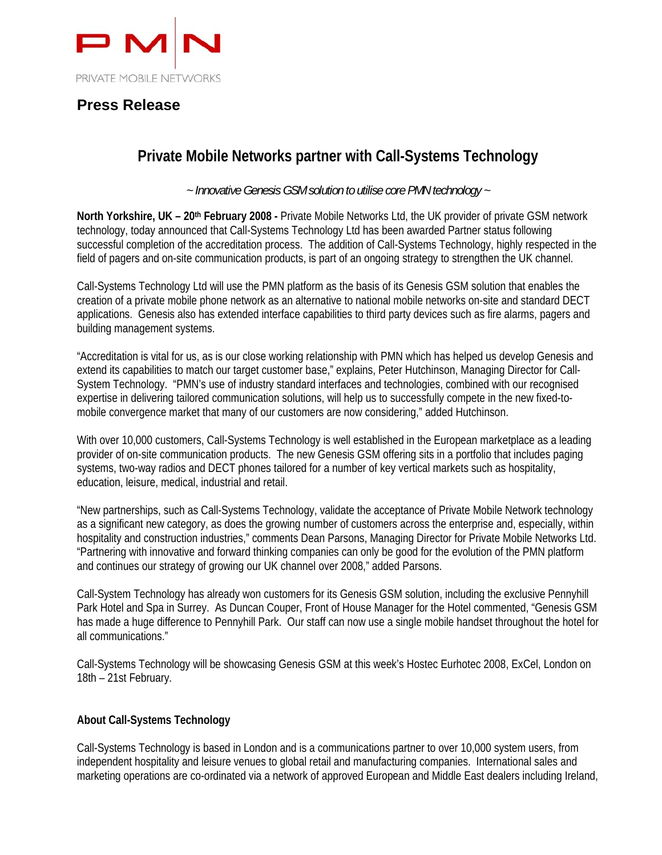

### **Press Release**

# **Private Mobile Networks partner with Call-Systems Technology**

*~ Innovative Genesis GSM solution to utilise core PMN technology ~* 

**North Yorkshire, UK – 20th February 2008 -** Private Mobile Networks Ltd, the UK provider of private GSM network technology, today announced that Call-Systems Technology Ltd has been awarded Partner status following successful completion of the accreditation process. The addition of Call-Systems Technology, highly respected in the field of pagers and on-site communication products, is part of an ongoing strategy to strengthen the UK channel.

Call-Systems Technology Ltd will use the PMN platform as the basis of its Genesis GSM solution that enables the creation of a private mobile phone network as an alternative to national mobile networks on-site and standard DECT applications. Genesis also has extended interface capabilities to third party devices such as fire alarms, pagers and building management systems.

"Accreditation is vital for us, as is our close working relationship with PMN which has helped us develop Genesis and extend its capabilities to match our target customer base," explains, Peter Hutchinson, Managing Director for Call-System Technology. "PMN's use of industry standard interfaces and technologies, combined with our recognised expertise in delivering tailored communication solutions, will help us to successfully compete in the new fixed-tomobile convergence market that many of our customers are now considering," added Hutchinson.

With over 10,000 customers, Call-Systems Technology is well established in the European marketplace as a leading provider of on-site communication products. The new Genesis GSM offering sits in a portfolio that includes paging systems, two-way radios and DECT phones tailored for a number of key vertical markets such as hospitality, education, leisure, medical, industrial and retail.

"New partnerships, such as Call-Systems Technology, validate the acceptance of Private Mobile Network technology as a significant new category, as does the growing number of customers across the enterprise and, especially, within hospitality and construction industries," comments Dean Parsons, Managing Director for Private Mobile Networks Ltd. "Partnering with innovative and forward thinking companies can only be good for the evolution of the PMN platform and continues our strategy of growing our UK channel over 2008," added Parsons.

Call-System Technology has already won customers for its Genesis GSM solution, including the exclusive Pennyhill Park Hotel and Spa in Surrey. As Duncan Couper, Front of House Manager for the Hotel commented, "Genesis GSM has made a huge difference to Pennyhill Park. Our staff can now use a single mobile handset throughout the hotel for all communications."

Call-Systems Technology will be showcasing Genesis GSM at this week's Hostec Eurhotec 2008, ExCel, London on 18th – 21st February.

#### **About Call-Systems Technology**

Call-Systems Technology is based in London and is a communications partner to over 10,000 system users, from independent hospitality and leisure venues to global retail and manufacturing companies. International sales and marketing operations are co-ordinated via a network of approved European and Middle East dealers including Ireland,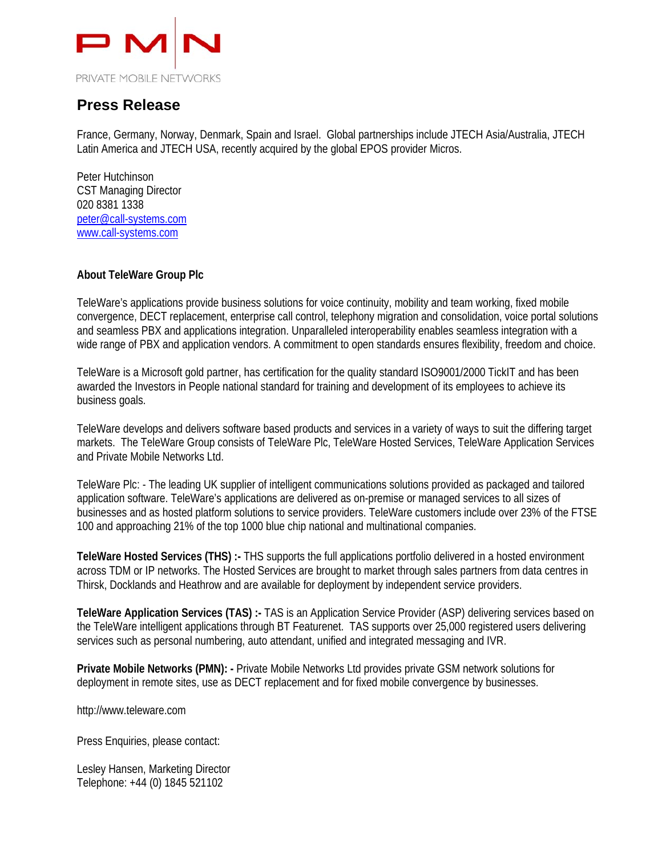

### **Press Release**

France, Germany, Norway, Denmark, Spain and Israel. Global partnerships include JTECH Asia/Australia, JTECH Latin America and JTECH USA, recently acquired by the global EPOS provider Micros.

Peter Hutchinson CST Managing Director 020 8381 1338 peter@call-systems.com www.call-systems.com

#### **About TeleWare Group Plc**

TeleWare's applications provide business solutions for voice continuity, mobility and team working, fixed mobile convergence, DECT replacement, enterprise call control, telephony migration and consolidation, voice portal solutions and seamless PBX and applications integration. Unparalleled interoperability enables seamless integration with a wide range of PBX and application vendors. A commitment to open standards ensures flexibility, freedom and choice.

TeleWare is a Microsoft gold partner, has certification for the quality standard ISO9001/2000 TickIT and has been awarded the Investors in People national standard for training and development of its employees to achieve its business goals.

TeleWare develops and delivers software based products and services in a variety of ways to suit the differing target markets. The TeleWare Group consists of TeleWare Plc, TeleWare Hosted Services, TeleWare Application Services and Private Mobile Networks Ltd.

TeleWare Plc: - The leading UK supplier of intelligent communications solutions provided as packaged and tailored application software. TeleWare's applications are delivered as on-premise or managed services to all sizes of businesses and as hosted platform solutions to service providers. TeleWare customers include over 23% of the FTSE 100 and approaching 21% of the top 1000 blue chip national and multinational companies.

**TeleWare Hosted Services (THS) :-** THS supports the full applications portfolio delivered in a hosted environment across TDM or IP networks. The Hosted Services are brought to market through sales partners from data centres in Thirsk, Docklands and Heathrow and are available for deployment by independent service providers.

**TeleWare Application Services (TAS) :-** TAS is an Application Service Provider (ASP) delivering services based on the TeleWare intelligent applications through BT Featurenet. TAS supports over 25,000 registered users delivering services such as personal numbering, auto attendant, unified and integrated messaging and IVR.

**Private Mobile Networks (PMN): -** Private Mobile Networks Ltd provides private GSM network solutions for deployment in remote sites, use as DECT replacement and for fixed mobile convergence by businesses.

http://www.teleware.com

Press Enquiries, please contact:

Lesley Hansen, Marketing Director Telephone: +44 (0) 1845 521102